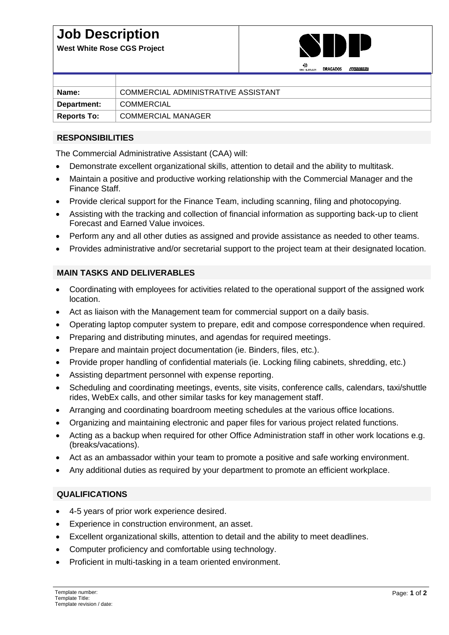## **Job Description**

**West White Rose CGS Project**



|                    |                                     |  | .<br>SNC-LAVALLY | <b>DRAGADOS</b> | <b>AN PENNECON</b> |
|--------------------|-------------------------------------|--|------------------|-----------------|--------------------|
|                    |                                     |  |                  |                 |                    |
| Name:              | COMMERCIAL ADMINISTRATIVE ASSISTANT |  |                  |                 |                    |
| Department:        | <b>COMMERCIAL</b>                   |  |                  |                 |                    |
| <b>Reports To:</b> | <b>COMMERCIAL MANAGER</b>           |  |                  |                 |                    |

## **RESPONSIBILITIES**

The Commercial Administrative Assistant (CAA) will:

- Demonstrate excellent organizational skills, attention to detail and the ability to multitask.
- Maintain a positive and productive working relationship with the Commercial Manager and the Finance Staff.
- Provide clerical support for the Finance Team, including scanning, filing and photocopying.
- Assisting with the tracking and collection of financial information as supporting back-up to client Forecast and Earned Value invoices.
- Perform any and all other duties as assigned and provide assistance as needed to other teams.
- Provides administrative and/or secretarial support to the project team at their designated location.

## **MAIN TASKS AND DELIVERABLES**

- Coordinating with employees for activities related to the operational support of the assigned work location.
- Act as liaison with the Management team for commercial support on a daily basis.
- Operating laptop computer system to prepare, edit and compose correspondence when required.
- Preparing and distributing minutes, and agendas for required meetings.
- Prepare and maintain project documentation (ie. Binders, files, etc.).
- Provide proper handling of confidential materials (ie. Locking filing cabinets, shredding, etc.)
- Assisting department personnel with expense reporting.
- Scheduling and coordinating meetings, events, site visits, conference calls, calendars, taxi/shuttle rides, WebEx calls, and other similar tasks for key management staff.
- Arranging and coordinating boardroom meeting schedules at the various office locations.
- Organizing and maintaining electronic and paper files for various project related functions.
- Acting as a backup when required for other Office Administration staff in other work locations e.g. (breaks/vacations).
- Act as an ambassador within your team to promote a positive and safe working environment.
- Any additional duties as required by your department to promote an efficient workplace.

## **QUALIFICATIONS**

- 4-5 years of prior work experience desired.
- Experience in construction environment, an asset.
- Excellent organizational skills, attention to detail and the ability to meet deadlines.
- Computer proficiency and comfortable using technology.
- Proficient in multi-tasking in a team oriented environment.